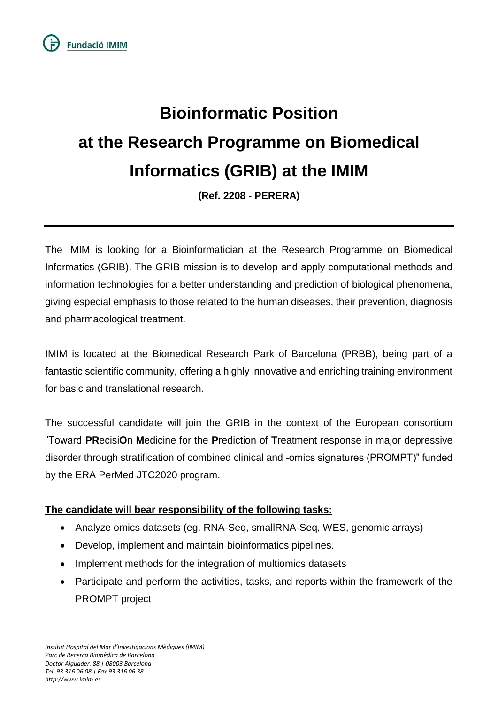# **Bioinformatic Position at the Research Programme on Biomedical Informatics (GRIB) at the IMIM**

**(Ref. 2208 - PERERA)**

The IMIM is looking for a Bioinformatician at the Research Programme on Biomedical Informatics (GRIB). The GRIB mission is to develop and apply computational methods and information technologies for a better understanding and prediction of biological phenomena, giving especial emphasis to those related to the human diseases, their prevention, diagnosis and pharmacological treatment.

IMIM is located at the Biomedical Research Park of Barcelona (PRBB), being part of a fantastic scientific community, offering a highly innovative and enriching training environment for basic and translational research.

The successful candidate will join the GRIB in the context of the European consortium "Toward **PR**ecisi**O**n **M**edicine for the **P**rediction of **T**reatment response in major depressive disorder through stratification of combined clinical and -omics signatures (PROMPT)" funded by the ERA PerMed JTC2020 program.

# **The candidate will bear responsibility of the following tasks:**

- Analyze omics datasets (eg. RNA-Seq, smallRNA-Seq, WES, genomic arrays)
- Develop, implement and maintain bioinformatics pipelines.
- Implement methods for the integration of multiomics datasets
- Participate and perform the activities, tasks, and reports within the framework of the PROMPT project